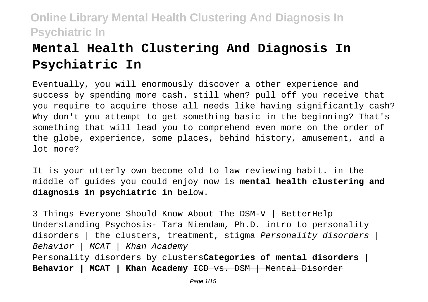# **Mental Health Clustering And Diagnosis In Psychiatric In**

Eventually, you will enormously discover a other experience and success by spending more cash. still when? pull off you receive that you require to acquire those all needs like having significantly cash? Why don't you attempt to get something basic in the beginning? That's something that will lead you to comprehend even more on the order of the globe, experience, some places, behind history, amusement, and a lot more?

It is your utterly own become old to law reviewing habit. in the middle of guides you could enjoy now is **mental health clustering and diagnosis in psychiatric in** below.

3 Things Everyone Should Know About The DSM-V | BetterHelp Understanding Psychosis- Tara Niendam, Ph.D. intro to personality  $d$ isorders  $|$  the clusters, treatment, stigma Personality disorders  $|$ Behavior | MCAT | Khan Academy

Personality disorders by clusters**Categories of mental disorders | Behavior | MCAT | Khan Academy** ICD vs. DSM | Mental Disorder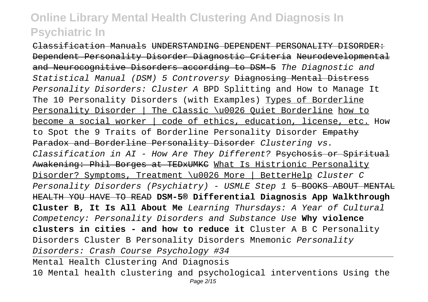Classification Manuals UNDERSTANDING DEPENDENT PERSONALITY DISORDER: Dependent Personality Disorder Diagnostic Criteria Neurodevelopmental and Neurocognitive Disorders according to DSM 5 The Diagnostic and Statistical Manual (DSM) 5 Controversy Diagnosing Mental Distress Personality Disorders: Cluster A BPD Splitting and How to Manage It The 10 Personality Disorders (with Examples) Types of Borderline Personality Disorder | The Classic \u0026 Quiet Borderline how to become a social worker | code of ethics, education, license, etc. How to Spot the 9 Traits of Borderline Personality Disorder Empathy Paradox and Borderline Personality Disorder Clustering vs. Classification in AI - How Are They Different? Psychosis or Spiritual Awakening: Phil Borges at TEDxUMKC What Is Histrionic Personality Disorder? Symptoms, Treatment \u0026 More | BetterHelp Cluster C Personality Disorders (Psychiatry) - USMLE Step 1 5 BOOKS ABOUT MENTAL HEALTH YOU HAVE TO READ **DSM-5® Differential Diagnosis App Walkthrough Cluster B, It Is All About Me** Learning Thursdays: A Year of Cultural Competency: Personality Disorders and Substance Use **Why violence clusters in cities - and how to reduce it** Cluster A B C Personality Disorders Cluster B Personality Disorders Mnemonic Personality Disorders: Crash Course Psychology #34 Mental Health Clustering And Diagnosis 10 Mental health clustering and psychological interventions Using the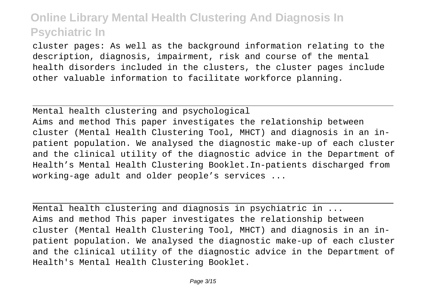cluster pages: As well as the background information relating to the description, diagnosis, impairment, risk and course of the mental health disorders included in the clusters, the cluster pages include other valuable information to facilitate workforce planning.

Mental health clustering and psychological Aims and method This paper investigates the relationship between cluster (Mental Health Clustering Tool, MHCT) and diagnosis in an inpatient population. We analysed the diagnostic make-up of each cluster and the clinical utility of the diagnostic advice in the Department of Health's Mental Health Clustering Booklet.In-patients discharged from working-age adult and older people's services ...

Mental health clustering and diagnosis in psychiatric in ... Aims and method This paper investigates the relationship between cluster (Mental Health Clustering Tool, MHCT) and diagnosis in an inpatient population. We analysed the diagnostic make-up of each cluster and the clinical utility of the diagnostic advice in the Department of Health's Mental Health Clustering Booklet.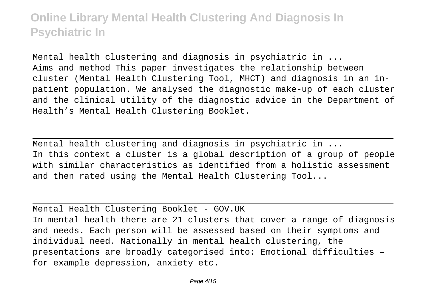Mental health clustering and diagnosis in psychiatric in ... Aims and method This paper investigates the relationship between cluster (Mental Health Clustering Tool, MHCT) and diagnosis in an inpatient population. We analysed the diagnostic make-up of each cluster and the clinical utility of the diagnostic advice in the Department of Health's Mental Health Clustering Booklet.

Mental health clustering and diagnosis in psychiatric in ... In this context a cluster is a global description of a group of people with similar characteristics as identified from a holistic assessment and then rated using the Mental Health Clustering Tool...

Mental Health Clustering Booklet - GOV.UK In mental health there are 21 clusters that cover a range of diagnosis and needs. Each person will be assessed based on their symptoms and individual need. Nationally in mental health clustering, the presentations are broadly categorised into: Emotional difficulties – for example depression, anxiety etc.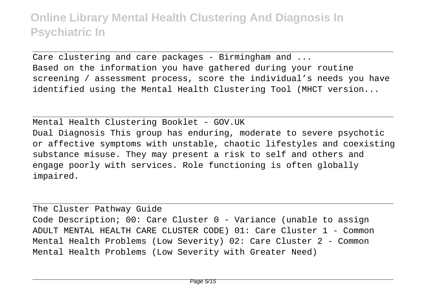Care clustering and care packages - Birmingham and ... Based on the information you have gathered during your routine screening / assessment process, score the individual's needs you have identified using the Mental Health Clustering Tool (MHCT version...

Mental Health Clustering Booklet - GOV.UK Dual Diagnosis This group has enduring, moderate to severe psychotic or affective symptoms with unstable, chaotic lifestyles and coexisting substance misuse. They may present a risk to self and others and engage poorly with services. Role functioning is often globally impaired.

The Cluster Pathway Guide Code Description; 00: Care Cluster 0 - Variance (unable to assign ADULT MENTAL HEALTH CARE CLUSTER CODE) 01: Care Cluster 1 - Common Mental Health Problems (Low Severity) 02: Care Cluster 2 - Common Mental Health Problems (Low Severity with Greater Need)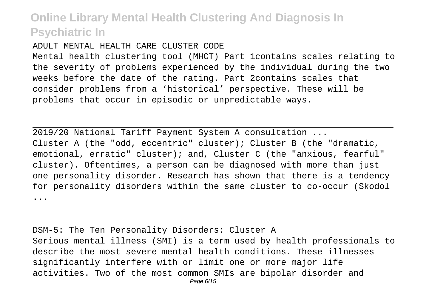#### ADULT MENTAL HEALTH CARE CLUSTER CODE

Mental health clustering tool (MHCT) Part 1contains scales relating to the severity of problems experienced by the individual during the two weeks before the date of the rating. Part 2contains scales that consider problems from a 'historical' perspective. These will be problems that occur in episodic or unpredictable ways.

2019/20 National Tariff Payment System A consultation ... Cluster A (the "odd, eccentric" cluster); Cluster B (the "dramatic, emotional, erratic" cluster); and, Cluster C (the "anxious, fearful" cluster). Oftentimes, a person can be diagnosed with more than just one personality disorder. Research has shown that there is a tendency for personality disorders within the same cluster to co-occur (Skodol ...

DSM-5: The Ten Personality Disorders: Cluster A Serious mental illness (SMI) is a term used by health professionals to describe the most severe mental health conditions. These illnesses significantly interfere with or limit one or more major life activities. Two of the most common SMIs are bipolar disorder and Page 6/15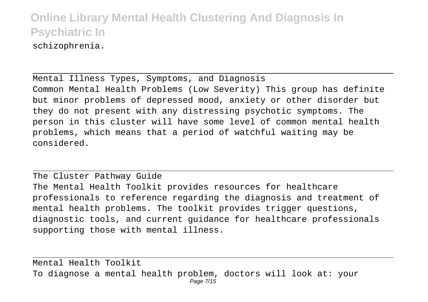schizophrenia.

Mental Illness Types, Symptoms, and Diagnosis Common Mental Health Problems (Low Severity) This group has definite but minor problems of depressed mood, anxiety or other disorder but they do not present with any distressing psychotic symptoms. The person in this cluster will have some level of common mental health problems, which means that a period of watchful waiting may be considered.

The Cluster Pathway Guide The Mental Health Toolkit provides resources for healthcare professionals to reference regarding the diagnosis and treatment of mental health problems. The toolkit provides trigger questions, diagnostic tools, and current guidance for healthcare professionals supporting those with mental illness.

Mental Health Toolkit To diagnose a mental health problem, doctors will look at: your Page 7/15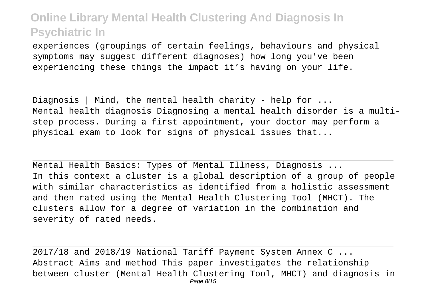experiences (groupings of certain feelings, behaviours and physical symptoms may suggest different diagnoses) how long you've been experiencing these things the impact it's having on your life.

Diagnosis | Mind, the mental health charity - help for  $\dots$ Mental health diagnosis Diagnosing a mental health disorder is a multistep process. During a first appointment, your doctor may perform a physical exam to look for signs of physical issues that...

Mental Health Basics: Types of Mental Illness, Diagnosis ... In this context a cluster is a global description of a group of people with similar characteristics as identified from a holistic assessment and then rated using the Mental Health Clustering Tool (MHCT). The clusters allow for a degree of variation in the combination and severity of rated needs.

2017/18 and 2018/19 National Tariff Payment System Annex C ... Abstract Aims and method This paper investigates the relationship between cluster (Mental Health Clustering Tool, MHCT) and diagnosis in Page 8/15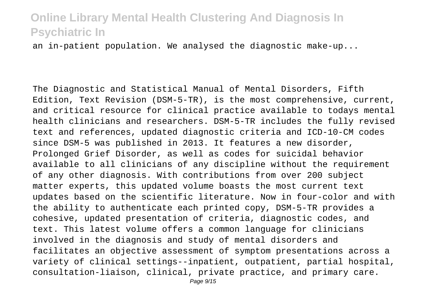an in-patient population. We analysed the diagnostic make-up...

The Diagnostic and Statistical Manual of Mental Disorders, Fifth Edition, Text Revision (DSM-5-TR), is the most comprehensive, current, and critical resource for clinical practice available to todays mental health clinicians and researchers. DSM-5-TR includes the fully revised text and references, updated diagnostic criteria and ICD-10-CM codes since DSM-5 was published in 2013. It features a new disorder, Prolonged Grief Disorder, as well as codes for suicidal behavior available to all clinicians of any discipline without the requirement of any other diagnosis. With contributions from over 200 subject matter experts, this updated volume boasts the most current text updates based on the scientific literature. Now in four-color and with the ability to authenticate each printed copy, DSM-5-TR provides a cohesive, updated presentation of criteria, diagnostic codes, and text. This latest volume offers a common language for clinicians involved in the diagnosis and study of mental disorders and facilitates an objective assessment of symptom presentations across a variety of clinical settings--inpatient, outpatient, partial hospital, consultation-liaison, clinical, private practice, and primary care.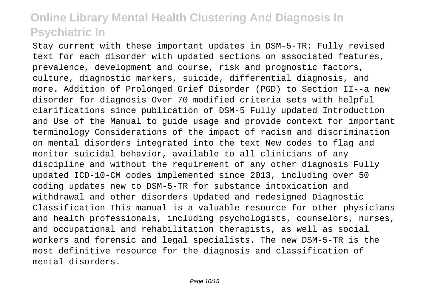Stay current with these important updates in DSM-5-TR: Fully revised text for each disorder with updated sections on associated features, prevalence, development and course, risk and prognostic factors, culture, diagnostic markers, suicide, differential diagnosis, and more. Addition of Prolonged Grief Disorder (PGD) to Section II--a new disorder for diagnosis Over 70 modified criteria sets with helpful clarifications since publication of DSM-5 Fully updated Introduction and Use of the Manual to guide usage and provide context for important terminology Considerations of the impact of racism and discrimination on mental disorders integrated into the text New codes to flag and monitor suicidal behavior, available to all clinicians of any discipline and without the requirement of any other diagnosis Fully updated ICD-10-CM codes implemented since 2013, including over 50 coding updates new to DSM-5-TR for substance intoxication and withdrawal and other disorders Updated and redesigned Diagnostic Classification This manual is a valuable resource for other physicians and health professionals, including psychologists, counselors, nurses, and occupational and rehabilitation therapists, as well as social workers and forensic and legal specialists. The new DSM-5-TR is the most definitive resource for the diagnosis and classification of mental disorders.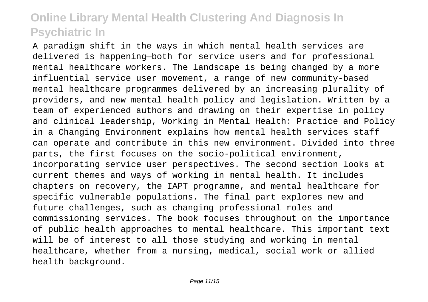A paradigm shift in the ways in which mental health services are delivered is happening—both for service users and for professional mental healthcare workers. The landscape is being changed by a more influential service user movement, a range of new community-based mental healthcare programmes delivered by an increasing plurality of providers, and new mental health policy and legislation. Written by a team of experienced authors and drawing on their expertise in policy and clinical leadership, Working in Mental Health: Practice and Policy in a Changing Environment explains how mental health services staff can operate and contribute in this new environment. Divided into three parts, the first focuses on the socio-political environment, incorporating service user perspectives. The second section looks at current themes and ways of working in mental health. It includes chapters on recovery, the IAPT programme, and mental healthcare for specific vulnerable populations. The final part explores new and future challenges, such as changing professional roles and commissioning services. The book focuses throughout on the importance of public health approaches to mental healthcare. This important text will be of interest to all those studying and working in mental healthcare, whether from a nursing, medical, social work or allied health background.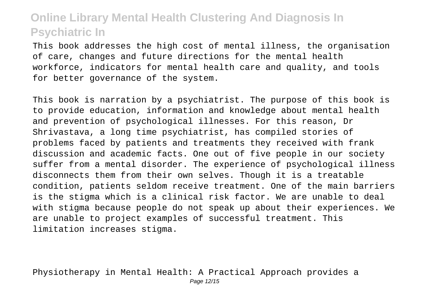This book addresses the high cost of mental illness, the organisation of care, changes and future directions for the mental health workforce, indicators for mental health care and quality, and tools for better governance of the system.

This book is narration by a psychiatrist. The purpose of this book is to provide education, information and knowledge about mental health and prevention of psychological illnesses. For this reason, Dr Shrivastava, a long time psychiatrist, has compiled stories of problems faced by patients and treatments they received with frank discussion and academic facts. One out of five people in our society suffer from a mental disorder. The experience of psychological illness disconnects them from their own selves. Though it is a treatable condition, patients seldom receive treatment. One of the main barriers is the stigma which is a clinical risk factor. We are unable to deal with stigma because people do not speak up about their experiences. We are unable to project examples of successful treatment. This limitation increases stigma.

Physiotherapy in Mental Health: A Practical Approach provides a Page 12/15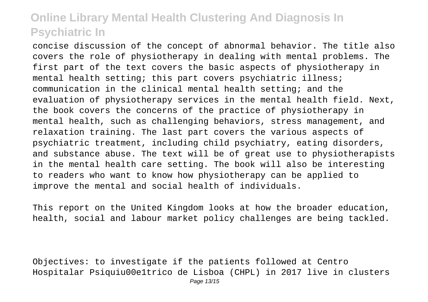concise discussion of the concept of abnormal behavior. The title also covers the role of physiotherapy in dealing with mental problems. The first part of the text covers the basic aspects of physiotherapy in mental health setting; this part covers psychiatric illness; communication in the clinical mental health setting; and the evaluation of physiotherapy services in the mental health field. Next, the book covers the concerns of the practice of physiotherapy in mental health, such as challenging behaviors, stress management, and relaxation training. The last part covers the various aspects of psychiatric treatment, including child psychiatry, eating disorders, and substance abuse. The text will be of great use to physiotherapists in the mental health care setting. The book will also be interesting to readers who want to know how physiotherapy can be applied to improve the mental and social health of individuals.

This report on the United Kingdom looks at how the broader education, health, social and labour market policy challenges are being tackled.

Objectives: to investigate if the patients followed at Centro Hospitalar Psiquiu00e1trico de Lisboa (CHPL) in 2017 live in clusters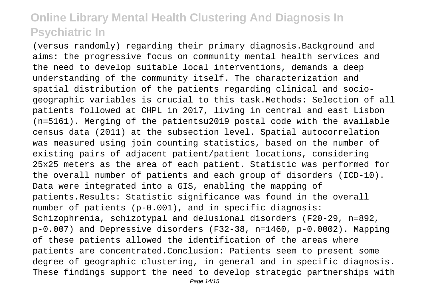(versus randomly) regarding their primary diagnosis.Background and aims: the progressive focus on community mental health services and the need to develop suitable local interventions, demands a deep understanding of the community itself. The characterization and spatial distribution of the patients regarding clinical and sociogeographic variables is crucial to this task.Methods: Selection of all patients followed at CHPL in 2017, living in central and east Lisbon (n=5161). Merging of the patientsu2019 postal code with the available census data (2011) at the subsection level. Spatial autocorrelation was measured using join counting statistics, based on the number of existing pairs of adjacent patient/patient locations, considering 25x25 meters as the area of each patient. Statistic was performed for the overall number of patients and each group of disorders (ICD-10). Data were integrated into a GIS, enabling the mapping of patients.Results: Statistic significance was found in the overall number of patients (p-0.001), and in specific diagnosis: Schizophrenia, schizotypal and delusional disorders (F20-29, n=892, p-0.007) and Depressive disorders (F32-38, n=1460, p-0.0002). Mapping of these patients allowed the identification of the areas where patients are concentrated.Conclusion: Patients seem to present some degree of geographic clustering, in general and in specific diagnosis. These findings support the need to develop strategic partnerships with